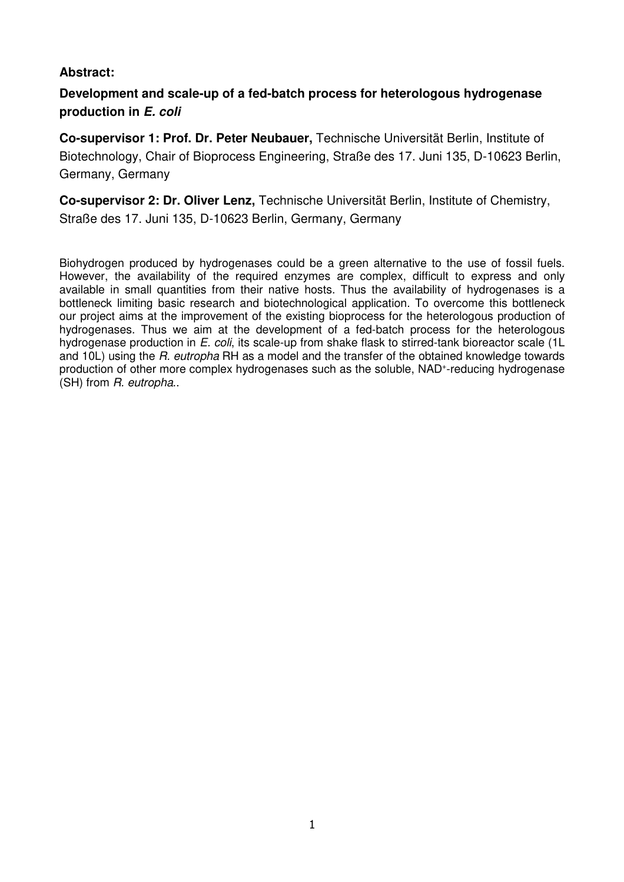# **Abstract:**

# **Development and scale-up of a fed-batch process for heterologous hydrogenase production in E. coli**

**Co-supervisor 1: Prof. Dr. Peter Neubauer,** Technische Universität Berlin, Institute of Biotechnology, Chair of Bioprocess Engineering, Straße des 17. Juni 135, D-10623 Berlin, Germany, Germany

**Co-supervisor 2: Dr. Oliver Lenz,** Technische Universität Berlin, Institute of Chemistry, Straße des 17. Juni 135, D-10623 Berlin, Germany, Germany

Biohydrogen produced by hydrogenases could be a green alternative to the use of fossil fuels. However, the availability of the required enzymes are complex, difficult to express and only available in small quantities from their native hosts. Thus the availability of hydrogenases is a bottleneck limiting basic research and biotechnological application. To overcome this bottleneck our project aims at the improvement of the existing bioprocess for the heterologous production of hydrogenases. Thus we aim at the development of a fed-batch process for the heterologous hydrogenase production in E. coli, its scale-up from shake flask to stirred-tank bioreactor scale (1L and 10L) using the R, eutropha RH as a model and the transfer of the obtained knowledge towards production of other more complex hydrogenases such as the soluble, NAD<sup>+</sup>-reducing hydrogenase (SH) from R. eutropha..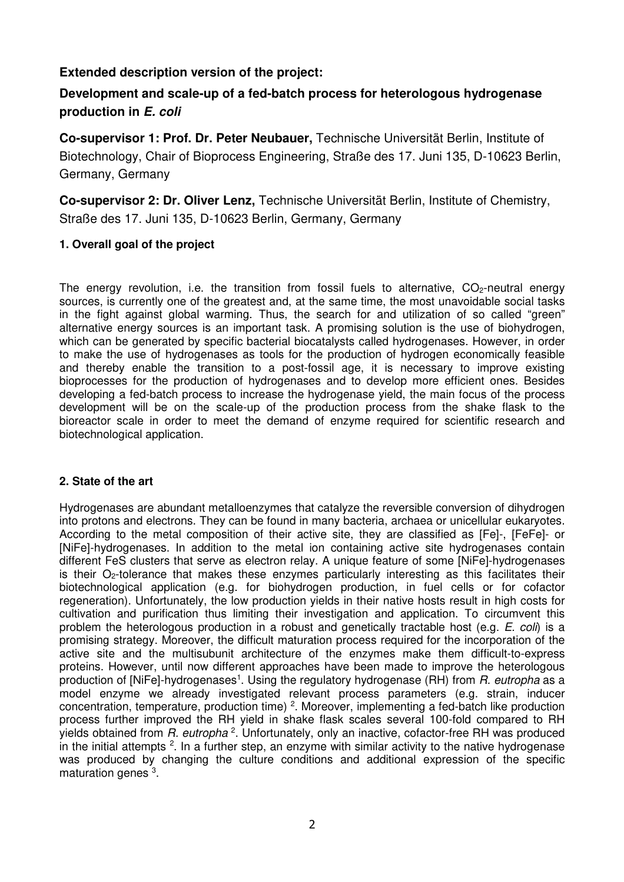## **Extended description version of the project:**

# **Development and scale-up of a fed-batch process for heterologous hydrogenase production in E. coli**

**Co-supervisor 1: Prof. Dr. Peter Neubauer,** Technische Universität Berlin, Institute of Biotechnology, Chair of Bioprocess Engineering, Straße des 17. Juni 135, D-10623 Berlin, Germany, Germany

**Co-supervisor 2: Dr. Oliver Lenz,** Technische Universität Berlin, Institute of Chemistry, Straße des 17. Juni 135, D-10623 Berlin, Germany, Germany

## **1. Overall goal of the project**

The energy revolution, i.e. the transition from fossil fuels to alternative,  $CO<sub>2</sub>$ -neutral energy sources, is currently one of the greatest and, at the same time, the most unavoidable social tasks in the fight against global warming. Thus, the search for and utilization of so called "green" alternative energy sources is an important task. A promising solution is the use of biohydrogen, which can be generated by specific bacterial biocatalysts called hydrogenases. However, in order to make the use of hydrogenases as tools for the production of hydrogen economically feasible and thereby enable the transition to a post-fossil age, it is necessary to improve existing bioprocesses for the production of hydrogenases and to develop more efficient ones. Besides developing a fed-batch process to increase the hydrogenase yield, the main focus of the process development will be on the scale-up of the production process from the shake flask to the bioreactor scale in order to meet the demand of enzyme required for scientific research and biotechnological application.

## **2. State of the art**

Hydrogenases are abundant metalloenzymes that catalyze the reversible conversion of dihydrogen into protons and electrons. They can be found in many bacteria, archaea or unicellular eukaryotes. According to the metal composition of their active site, they are classified as [Fe]-, [FeFe]- or [NiFe]-hydrogenases. In addition to the metal ion containing active site hydrogenases contain different FeS clusters that serve as electron relay. A unique feature of some [NiFe]-hydrogenases is their  $O_2$ -tolerance that makes these enzymes particularly interesting as this facilitates their biotechnological application (e.g. for biohydrogen production, in fuel cells or for cofactor regeneration). Unfortunately, the low production yields in their native hosts result in high costs for cultivation and purification thus limiting their investigation and application. To circumvent this problem the heterologous production in a robust and genetically tractable host (e.g. E. coli) is a promising strategy. Moreover, the difficult maturation process required for the incorporation of the active site and the multisubunit architecture of the enzymes make them difficult-to-express proteins. However, until now different approaches have been made to improve the heterologous production of [NiFe]-hydrogenases<sup>1</sup>. Using the regulatory hydrogenase (RH) from *R. eutropha* as a model enzyme we already investigated relevant process parameters (e.g. strain, inducer concentration, temperature, production time) <sup>2</sup>. Moreover, implementing a fed-batch like production process further improved the RH yield in shake flask scales several 100-fold compared to RH yields obtained from R. eutropha<sup>2</sup>. Unfortunately, only an inactive, cofactor-free RH was produced in the initial attempts <sup>2</sup>. In a further step, an enzyme with similar activity to the native hydrogenase was produced by changing the culture conditions and additional expression of the specific maturation genes <sup>3</sup>.